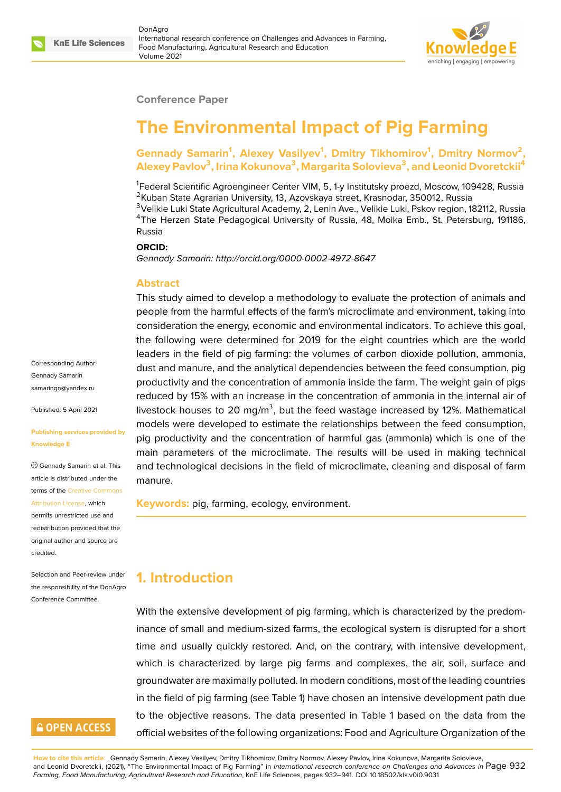

### **Conference Paper**

# **The Environmental Impact of Pig Farming**

Gennady Samarin<sup>1</sup>, Alexey Vasilyev<sup>1</sup>, Dmitry Tikhomirov<sup>1</sup>, Dmitry Normov<sup>2</sup>, **Alexey Pavlov<sup>3</sup> , Irina Kokunova<sup>3</sup> , Margarita Solovieva<sup>3</sup> , and Leonid Dvoretckii<sup>4</sup>**

<sup>1</sup>Federal Scientific Agroengineer Center VIM, 5, 1-y Institutsky proezd, Moscow, 109428, Russia <sup>2</sup>Kuban State Agrarian University, 13, Azovskaya street, Krasnodar, 350012, Russia

<sup>3</sup>Velikie Luki State Agricultural Academy, 2, Lenin Ave., Velikie Luki, Pskov region, 182112, Russia <sup>4</sup>The Herzen State Pedagogical University of Russia, 48, Moika Emb., St. Petersburg, 191186, Russia

#### **ORCID:**

*Gennady Samarin: http://orcid.org/0000-0002-4972-8647*

#### **Abstract**

This study aimed to develop a methodology to evaluate the protection of animals and people from the harmful effects of the farm's microclimate and environment, taking into consideration the energy, economic and environmental indicators. To achieve this goal, the following were determined for 2019 for the eight countries which are the world leaders in the field of pig farming: the volumes of carbon dioxide pollution, ammonia, dust and manure, and the analytical dependencies between the feed consumption, pig productivity and the concentration of ammonia inside the farm. The weight gain of pigs reduced by 15% with an increase in the concentration of ammonia in the internal air of livestock houses to 20 mg/m<sup>3</sup>, but the feed wastage increased by 12%. Mathematical models were developed to estimate the relationships between the feed consumption, pig productivity and the concentration of harmful gas (ammonia) which is one of the main parameters of the microclimate. The results will be used in making technical and technological decisions in the field of microclimate, cleaning and disposal of farm manure.

**Keywords:** pig, farming, ecology, environment.

### **1. Introduction**

With the extensive development of pig farming, which is characterized by the predominance of small and medium-sized farms, the ecological system is disrupted for a short time and usually quickly restored. And, on the contrary, with intensive development, which is characterized by large pig farms and complexes, the air, soil, surface and groundwater are maximally polluted. In modern conditions, most of the leading countries in the field of pig farming (see Table 1) have chosen an intensive development path due to the objective reasons. The data presented in Table 1 based on the data from the official websites of the following organizations: Food and Agriculture Organization of the

**How to cite this article**: Gennady Samarin, Alexey Vasilyev, Dmitry Tikhomirov, Dmitry Normov, Alexey Pavlov, Irina Kokunova, Margarita Solovieva, and Leonid Dvoretckii, (2021), "The Environmental Impact of Pig Farming" in *International research conference on Challenges and Advances in* Page 932 *Farming, Food Manufacturing, Agricultural Research and Education*, KnE Life Sciences, pages 932–941. DOI 10.18502/kls.v0i0.9031

Corresponding Author: Gennady Samarin samaringn@yandex.ru

Published: 5 April 2021

#### **[Publishing services pr](mailto:samaringn@yandex.ru)ovided by Knowledge E**

Gennady Samarin et al. This article is distributed under the terms of the Creative Commons Attribution License, which

permits unrestricted use and redistribution provided that the original auth[or and source are](https://creativecommons.org/licenses/by/4.0/) [credited.](https://creativecommons.org/licenses/by/4.0/)

Selection and Peer-review under the responsibility of the DonAgro Conference Committee.

# **GOPEN ACCESS**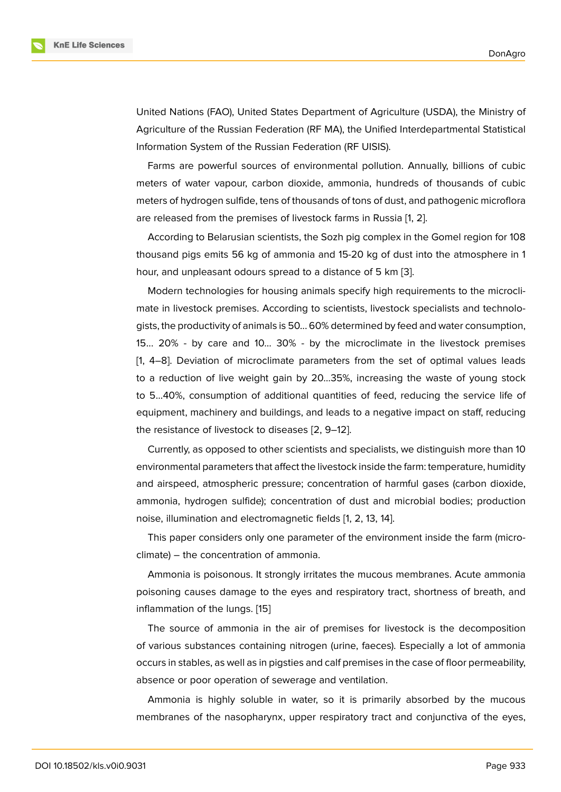United Nations (FAO), United States Department of Agriculture (USDA), the Ministry of Agriculture of the Russian Federation (RF MA), the Unified Interdepartmental Statistical Information System of the Russian Federation (RF UISIS).

Farms are powerful sources of environmental pollution. Annually, billions of cubic meters of water vapour, carbon dioxide, ammonia, hundreds of thousands of cubic meters of hydrogen sulfide, tens of thousands of tons of dust, and pathogenic microflora are released from the premises of livestock farms in Russia [1, 2].

According to Belarusian scientists, the Sozh pig complex in the Gomel region for 108 thousand pigs emits 56 kg of ammonia and 15-20 kg of dust [in](#page-7-1)to the atmosphere in 1 hour, and unpleasant odours spread to a distance of 5 km [[3\]](#page-7-0).

Modern technologies for housing animals specify high requirements to the microclimate in livestock premises. According to scientists, livestock specialists and technologists, the productivity of animals is 50... 60% determined by f[ee](#page-7-2)d and water consumption, 15... 20% - by care and 10... 30% - by the microclimate in the livestock premises [1, 4–8]. Deviation of microclimate parameters from the set of optimal values leads to a reduction of live weight gain by 20...35%, increasing the waste of young stock to 5...40%, consumption of additional quantities of feed, reducing the service life of [e](#page-7-0)q[ui](#page-7-3)[pm](#page-7-4)ent, machinery and buildings, and leads to a negative impact on staff, reducing the resistance of livestock to diseases [2, 9–12].

Currently, as opposed to other scientists and specialists, we distinguish more than 10 environmental parameters that affect the livestock inside the farm: temperature, humidity and airspeed, atmospheric pressure; c[on](#page-7-1)[ce](#page-7-5)[ntr](#page-7-6)ation of harmful gases (carbon dioxide, ammonia, hydrogen sulfide); concentration of dust and microbial bodies; production noise, illumination and electromagnetic fields [1, 2, 13, 14].

This paper considers only one parameter of the environment inside the farm (microclimate) – the concentration of ammonia.

Ammonia is poisonous. It strongly irritates t[he](#page-7-0) [m](#page-7-1)[uc](#page-8-0)[ous](#page-8-1) membranes. Acute ammonia poisoning causes damage to the eyes and respiratory tract, shortness of breath, and inflammation of the lungs. [15]

The source of ammonia in the air of premises for livestock is the decomposition of various substances containing nitrogen (urine, faeces). Especially a lot of ammonia occurs in stables, as well as [in](#page-8-2) pigsties and calf premises in the case of floor permeability, absence or poor operation of sewerage and ventilation.

Ammonia is highly soluble in water, so it is primarily absorbed by the mucous membranes of the nasopharynx, upper respiratory tract and conjunctiva of the eyes,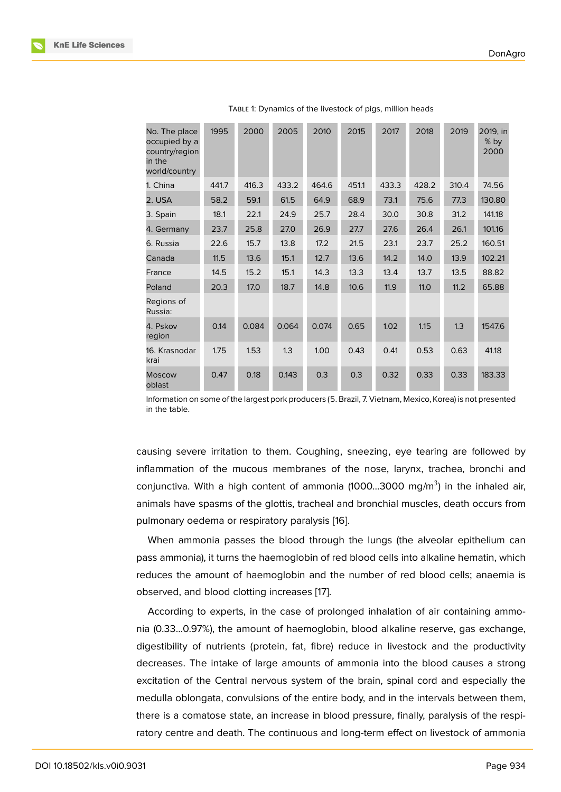| No. The place<br>occupied by a<br>country/region<br>in the<br>world/country | 1995  | 2000  | 2005  | 2010  | 2015  | 2017  | 2018  | 2019  | 2019, in<br>% by<br>2000 |
|-----------------------------------------------------------------------------|-------|-------|-------|-------|-------|-------|-------|-------|--------------------------|
| 1. China                                                                    | 441.7 | 416.3 | 433.2 | 464.6 | 451.1 | 433.3 | 428.2 | 310.4 | 74.56                    |
| 2. USA                                                                      | 58.2  | 59.1  | 61.5  | 64.9  | 68.9  | 73.1  | 75.6  | 77.3  | 130.80                   |
| 3. Spain                                                                    | 18.1  | 22.1  | 24.9  | 25.7  | 28.4  | 30.0  | 30.8  | 31.2  | 141.18                   |
| 4. Germany                                                                  | 23.7  | 25.8  | 27.0  | 26.9  | 27.7  | 27.6  | 26.4  | 26.1  | 101.16                   |
| 6. Russia                                                                   | 22.6  | 15.7  | 13.8  | 17.2  | 21.5  | 23.1  | 23.7  | 25.2  | 160.51                   |
| Canada                                                                      | 11.5  | 13.6  | 15.1  | 12.7  | 13.6  | 14.2  | 14.0  | 13.9  | 102.21                   |
| France                                                                      | 14.5  | 15.2  | 15.1  | 14.3  | 13.3  | 13.4  | 13.7  | 13.5  | 88.82                    |
| Poland                                                                      | 20.3  | 17.0  | 18.7  | 14.8  | 10.6  | 11.9  | 11.0  | 11.2  | 65.88                    |
| Regions of<br>Russia:                                                       |       |       |       |       |       |       |       |       |                          |
| 4. Pskov<br>region                                                          | 0.14  | 0.084 | 0.064 | 0.074 | 0.65  | 1.02  | 1.15  | 1.3   | 1547.6                   |
| 16. Krasnodar<br>krai                                                       | 1.75  | 1.53  | 1.3   | 1.00  | 0.43  | 0.41  | 0.53  | 0.63  | 41.18                    |
| <b>Moscow</b><br>oblast                                                     | 0.47  | 0.18  | 0.143 | 0.3   | 0.3   | 0.32  | 0.33  | 0.33  | 183.33                   |

| TABLE 1: Dynamics of the livestock of pigs, million heads |  |  |  |
|-----------------------------------------------------------|--|--|--|
|                                                           |  |  |  |

Information on some of the largest pork producers (5. Brazil, 7. Vietnam, Mexico, Korea) is not presented in the table.

causing severe irritation to them. Coughing, sneezing, eye tearing are followed by inflammation of the mucous membranes of the nose, larynx, trachea, bronchi and conjunctiva. With a high content of ammonia (1000...3000 mg/m<sup>3</sup>) in the inhaled air, animals have spasms of the glottis, tracheal and bronchial muscles, death occurs from pulmonary oedema or respiratory paralysis [16].

When ammonia passes the blood through the lungs (the alveolar epithelium can pass ammonia), it turns the haemoglobin of red blood cells into alkaline hematin, which reduces the amount of haemoglobin and t[he](#page-8-3) number of red blood cells; anaemia is observed, and blood clotting increases [17].

According to experts, in the case of prolonged inhalation of air containing ammonia (0.33...0.97%), the amount of haemoglobin, blood alkaline reserve, gas exchange, digestibility of nutrients (protein, fat, fi[bre](#page-8-4)) reduce in livestock and the productivity decreases. The intake of large amounts of ammonia into the blood causes a strong excitation of the Central nervous system of the brain, spinal cord and especially the medulla oblongata, convulsions of the entire body, and in the intervals between them, there is a comatose state, an increase in blood pressure, finally, paralysis of the respiratory centre and death. The continuous and long-term effect on livestock of ammonia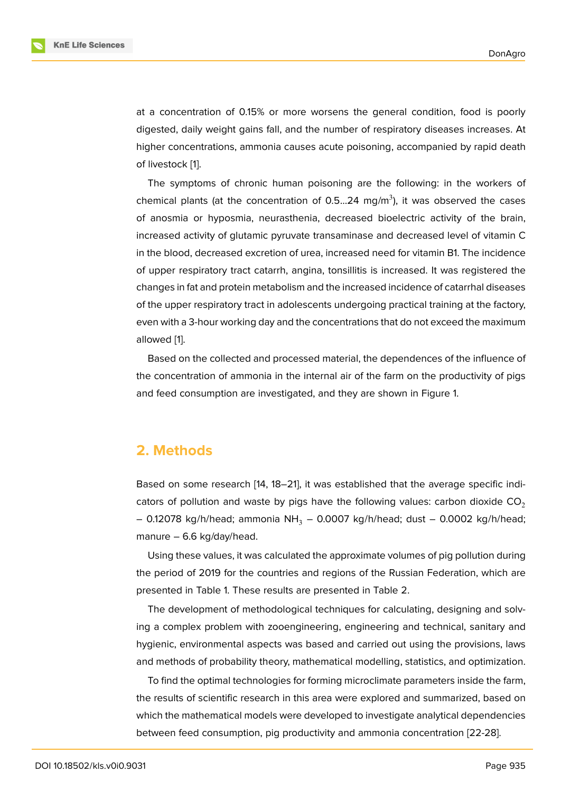at a concentration of 0.15% or more worsens the general condition, food is poorly digested, daily weight gains fall, and the number of respiratory diseases increases. At higher concentrations, ammonia causes acute poisoning, accompanied by rapid death of livestock [1].

The symptoms of chronic human poisoning are the following: in the workers of chemical plants (at the concentration of 0.5...24 mg/m<sup>3</sup>), it was observed the cases of anosmia [o](#page-7-0)r hyposmia, neurasthenia, decreased bioelectric activity of the brain, increased activity of glutamic pyruvate transaminase and decreased level of vitamin C in the blood, decreased excretion of urea, increased need for vitamin B1. The incidence of upper respiratory tract catarrh, angina, tonsillitis is increased. It was registered the changes in fat and protein metabolism and the increased incidence of catarrhal diseases of the upper respiratory tract in adolescents undergoing practical training at the factory, even with a 3-hour working day and the concentrations that do not exceed the maximum allowed [1].

Based on the collected and processed material, the dependences of the influence of the concentration of ammonia in the internal air of the farm on the productivity of pigs and feed [c](#page-7-0)onsumption are investigated, and they are shown in Figure 1.

## **2. Methods**

Based on some research [14, 18–21], it was established that the average specific indicators of pollution and waste by pigs have the following values: carbon dioxide  $CO<sub>2</sub>$ – 0.12078 kg/h/head; ammonia NH<sub>3</sub> – 0.0007 kg/h/head; dust – 0.0002 kg/h/head; manure – 6.6 kg/day/head[.](#page-8-1)

Using these values, it was calculated the approximate volumes of pig pollution during the period of 2019 for the countries and regions of the Russian Federation, which are presented in Table 1. These results are presented in Table 2.

The development of methodological techniques for calculating, designing and solving a complex problem with zooengineering, engineering and technical, sanitary and hygienic, environmental aspects was based and carried out using the provisions, laws and methods of probability theory, mathematical modelling, statistics, and optimization.

To find the optimal technologies for forming microclimate parameters inside the farm, the results of scientific research in this area were explored and summarized, based on which the mathematical models were developed to investigate analytical dependencies between feed consumption, pig productivity and ammonia concentration [22-28].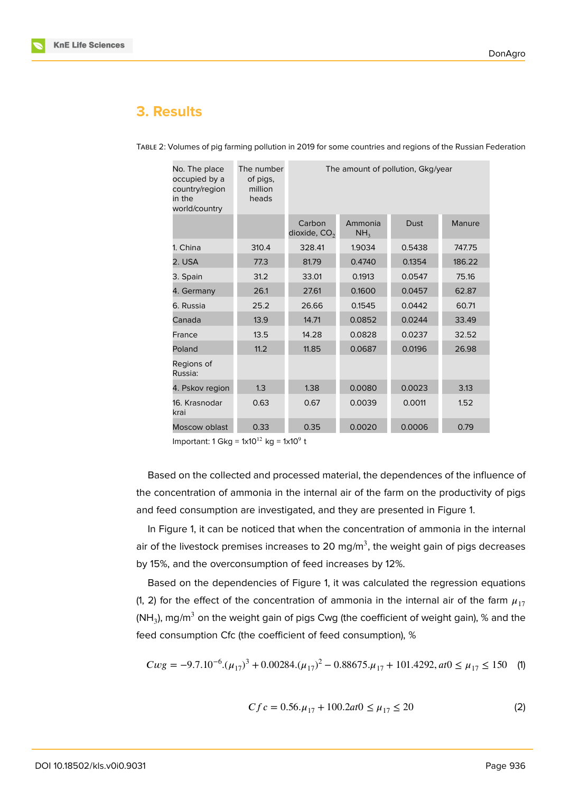# **3. Results**

| No. The place<br>occupied by a<br>country/region<br>in the<br>world/country | The number<br>of pigs,<br>million<br>heads | The amount of pollution, Gkg/year |                            |             |        |  |
|-----------------------------------------------------------------------------|--------------------------------------------|-----------------------------------|----------------------------|-------------|--------|--|
|                                                                             |                                            | Carbon<br>dioxide, $CO2$          | Ammonia<br>NH <sub>3</sub> | <b>Dust</b> | Manure |  |
| 1. China                                                                    | 310.4                                      | 328.41                            | 1.9034                     | 0.5438      | 747.75 |  |
| 2. USA                                                                      | 77.3                                       | 81.79                             | 0.4740                     | 0.1354      | 186.22 |  |
| 3. Spain                                                                    | 31.2                                       | 33.01                             | 0.1913                     | 0.0547      | 75.16  |  |
| 4. Germany                                                                  | 26.1                                       | 27.61                             | 0.1600                     | 0.0457      | 62.87  |  |
| 6. Russia                                                                   | 25.2                                       | 26.66                             | 0.1545                     | 0.0442      | 60.71  |  |
| Canada                                                                      | 13.9                                       | 14.71                             | 0.0852                     | 0.0244      | 33.49  |  |
| France                                                                      | 13.5                                       | 14.28                             | 0.0828                     | 0.0237      | 32.52  |  |
| Poland                                                                      | 11.2                                       | 11.85                             | 0.0687                     | 0.0196      | 26.98  |  |
| Regions of<br>Russia:                                                       |                                            |                                   |                            |             |        |  |
| 4. Pskov region                                                             | 1.3                                        | 1.38                              | 0.0080                     | 0.0023      | 3.13   |  |
| 0.63<br>16. Krasnodar<br>krai                                               |                                            | 0.67                              | 0.0039                     | 0.0011      | 1.52   |  |
| Moscow oblast                                                               | 0.33                                       | 0.35                              | 0.0020                     | 0.0006      | 0.79   |  |

TABLE 2: Volumes of pig farming pollution in 2019 for some countries and regions of the Russian Federation

Important: 1 Gkg = 1x10<sup>12</sup> kg = 1x10<sup>9</sup> t

Based on the collected and processed material, the dependences of the influence of the concentration of ammonia in the internal air of the farm on the productivity of pigs and feed consumption are investigated, and they are presented in Figure 1.

In Figure 1, it can be noticed that when the concentration of ammonia in the internal air of the livestock premises increases to 20 mg/m $^3$ , the weight gain of pi[gs](#page-5-0) decreases by 15%, and the overconsumption of feed increases by 12%.

Based o[n](#page-5-0) the dependencies of Figure 1, it was calculated the regression equations (1, 2) for the effect of the concentration of ammonia in the internal air of the farm  $\mu_{17}$ (NH<sub>3</sub>), mg/m $^3$  on the weight gain of pigs Cwg (the coefficient of weight gain),  $\%$  and the feed consumption Cfc (the coefficient of f[e](#page-5-0)ed consumption), %

$$
Cwg = -9.7.10^{-6} \cdot (\mu_{17})^3 + 0.00284 \cdot (\mu_{17})^2 - 0.88675 \cdot \mu_{17} + 101.4292, \text{at0} \le \mu_{17} \le 150 \quad \text{(1)}
$$

$$
Cfc = 0.56.\mu_{17} + 100.2at0 \le \mu_{17} \le 20\tag{2}
$$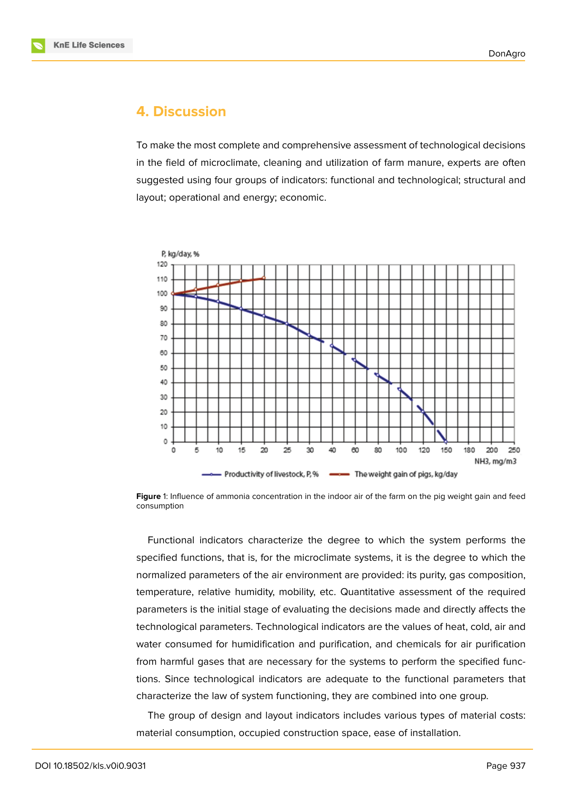

### **4. Discussion**

To make the most complete and comprehensive assessment of technological decisions in the field of microclimate, cleaning and utilization of farm manure, experts are often suggested using four groups of indicators: functional and technological; structural and layout; operational and energy; economic.



<span id="page-5-0"></span>**Figure** 1: Influence of ammonia concentration in the indoor air of the farm on the pig weight gain and feed consumption

Functional indicators characterize the degree to which the system performs the specified functions, that is, for the microclimate systems, it is the degree to which the normalized parameters of the air environment are provided: its purity, gas composition, temperature, relative humidity, mobility, etc. Quantitative assessment of the required parameters is the initial stage of evaluating the decisions made and directly affects the technological parameters. Technological indicators are the values of heat, cold, air and water consumed for humidification and purification, and chemicals for air purification from harmful gases that are necessary for the systems to perform the specified functions. Since technological indicators are adequate to the functional parameters that characterize the law of system functioning, they are combined into one group.

The group of design and layout indicators includes various types of material costs: material consumption, occupied construction space, ease of installation.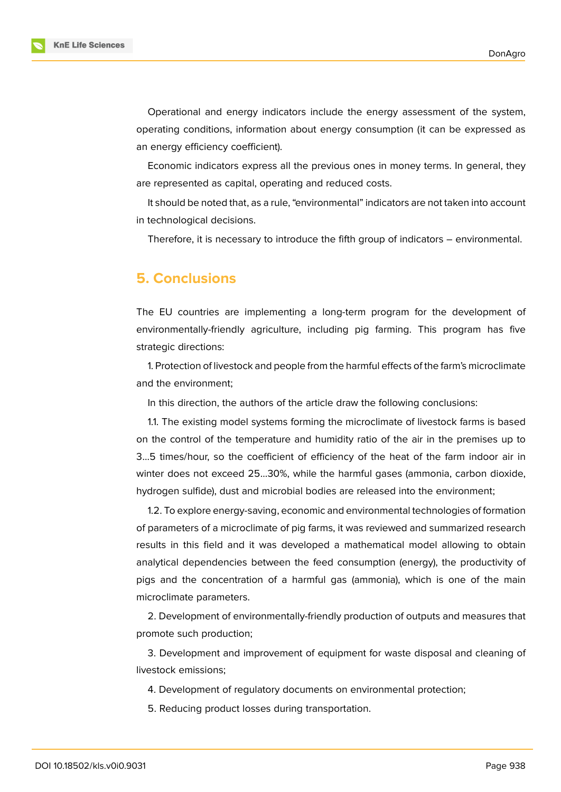

Operational and energy indicators include the energy assessment of the system, operating conditions, information about energy consumption (it can be expressed as an energy efficiency coefficient).

Economic indicators express all the previous ones in money terms. In general, they are represented as capital, operating and reduced costs.

It should be noted that, as a rule, "environmental" indicators are not taken into account in technological decisions.

Therefore, it is necessary to introduce the fifth group of indicators – environmental.

## **5. Conclusions**

The EU countries are implementing a long-term program for the development of environmentally-friendly agriculture, including pig farming. This program has five strategic directions:

1. Protection of livestock and people from the harmful effects of the farm's microclimate and the environment;

In this direction, the authors of the article draw the following conclusions:

1.1. The existing model systems forming the microclimate of livestock farms is based on the control of the temperature and humidity ratio of the air in the premises up to 3...5 times/hour, so the coefficient of efficiency of the heat of the farm indoor air in winter does not exceed 25...30%, while the harmful gases (ammonia, carbon dioxide, hydrogen sulfide), dust and microbial bodies are released into the environment;

1.2. To explore energy-saving, economic and environmental technologies of formation of parameters of a microclimate of pig farms, it was reviewed and summarized research results in this field and it was developed a mathematical model allowing to obtain analytical dependencies between the feed consumption (energy), the productivity of pigs and the concentration of a harmful gas (ammonia), which is one of the main microclimate parameters.

2. Development of environmentally-friendly production of outputs and measures that promote such production;

3. Development and improvement of equipment for waste disposal and cleaning of livestock emissions;

4. Development of regulatory documents on environmental protection;

5. Reducing product losses during transportation.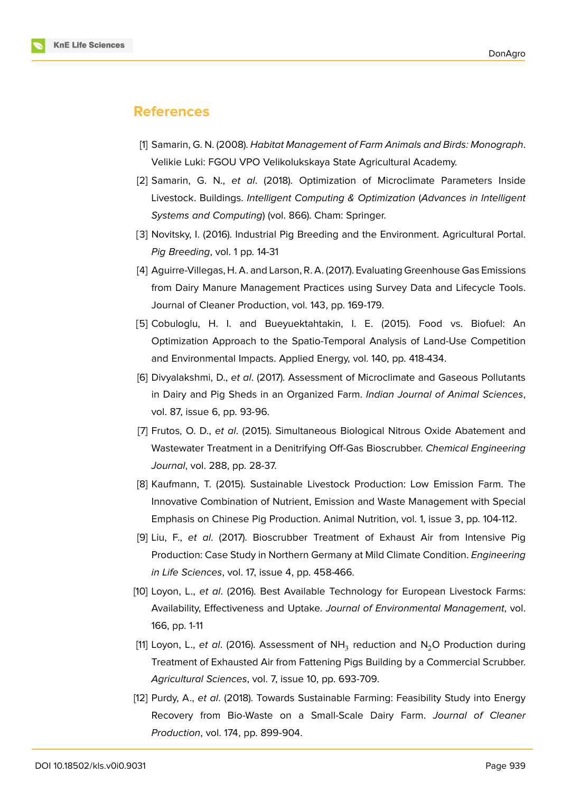

# **References**

- <span id="page-7-0"></span>[1] Samarin, G. N. (2008). *Habitat Management of Farm Animals and Birds: Monograph*. Velikie Luki: FGOU VPO Velikolukskaya State Agricultural Academy.
- <span id="page-7-1"></span>[2] Samarin, G. N., *et al*. (2018). Optimization of Microclimate Parameters Inside Livestock. Buildings. *Intelligent Computing & Optimization* (*Advances in Intelligent Systems and Computing*) (vol. 866). Cham: Springer.
- <span id="page-7-2"></span>[3] Novitsky, I. (2016). Industrial Pig Breeding and the Environment. Agricultural Portal. *Pig Breeding*, vol. 1 pp. 14-31
- <span id="page-7-3"></span>[4] Aguirre-Villegas, H. A. and Larson, R. A. (2017). Evaluating Greenhouse Gas Emissions from Dairy Manure Management Practices using Survey Data and Lifecycle Tools. Journal of Cleaner Production, vol. 143, pp. 169-179.
- [5] Cobuloglu, H. I. and Bueyuektahtakin, I. E. (2015). Food vs. Biofuel: An Optimization Approach to the Spatio-Temporal Analysis of Land-Use Competition and Environmental Impacts. Applied Energy, vol. 140, pp. 418-434.
- [6] Divyalakshmi, D., *et al*. (2017). Assessment of Microclimate and Gaseous Pollutants in Dairy and Pig Sheds in an Organized Farm. *Indian Journal of Animal Sciences*, vol. 87, issue 6, pp. 93-96.
- [7] Frutos, O. D., *et al*. (2015). Simultaneous Biological Nitrous Oxide Abatement and Wastewater Treatment in a Denitrifying Off-Gas Bioscrubber. *Chemical Engineering Journal*, vol. 288, pp. 28-37.
- <span id="page-7-4"></span>[8] Kaufmann, T. (2015). Sustainable Livestock Production: Low Emission Farm. The Innovative Combination of Nutrient, Emission and Waste Management with Special Emphasis on Chinese Pig Production. Animal Nutrition, vol. 1, issue 3, pp. 104-112.
- <span id="page-7-5"></span>[9] Liu, F., *et al*. (2017). Bioscrubber Treatment of Exhaust Air from Intensive Pig Production: Case Study in Northern Germany at Mild Climate Condition. *Engineering in Life Sciences*, vol. 17, issue 4, pp. 458-466.
- [10] Loyon, L., *et al*. (2016). Best Available Technology for European Livestock Farms: Availability, Effectiveness and Uptake. *Journal of Environmental Management*, vol. 166, pp. 1-11
- [11] Loyon, L., *et al*. (2016). Assessment of NH<sub>3</sub> reduction and N<sub>2</sub>O Production during Treatment of Exhausted Air from Fattening Pigs Building by a Commercial Scrubber. *Agricultural Sciences*, vol. 7, issue 10, pp. 693-709.
- <span id="page-7-6"></span>[12] Purdy, A., *et al*. (2018). Towards Sustainable Farming: Feasibility Study into Energy Recovery from Bio-Waste on a Small-Scale Dairy Farm. *Journal of Cleaner Production*, vol. 174, pp. 899-904.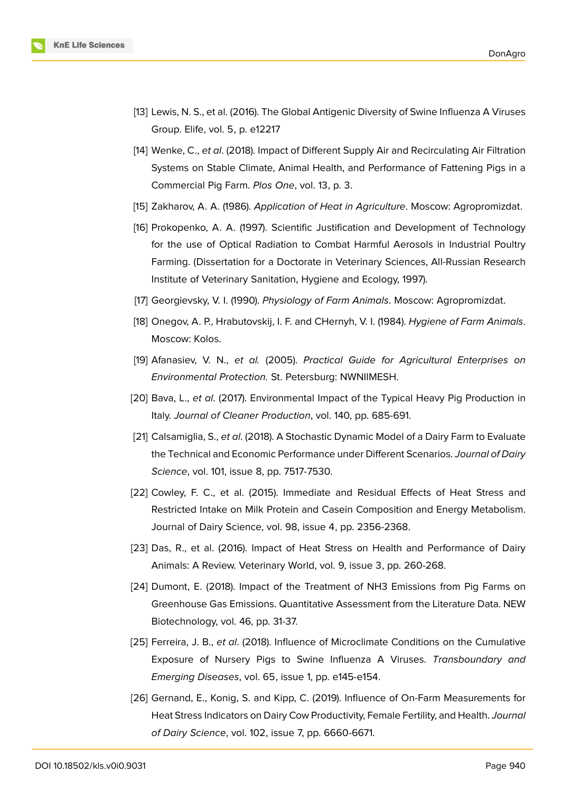

- <span id="page-8-0"></span>[13] Lewis, N. S., et al. (2016). The Global Antigenic Diversity of Swine Influenza A Viruses Group. Elife, vol. 5, p. e12217
- <span id="page-8-1"></span>[14] Wenke, C., *et al*. (2018). Impact of Different Supply Air and Recirculating Air Filtration Systems on Stable Climate, Animal Health, and Performance of Fattening Pigs in a Commercial Pig Farm. *Plos One*, vol. 13, p. 3.
- <span id="page-8-2"></span>[15] Zakharov, A. A. (1986). *Application of Heat in Agriculture*. Moscow: Agropromizdat.
- <span id="page-8-3"></span>[16] Prokopenko, A. A. (1997). Scientific Justification and Development of Technology for the use of Optical Radiation to Combat Harmful Aerosols in Industrial Poultry Farming. (Dissertation for a Doctorate in Veterinary Sciences, All-Russian Research Institute of Veterinary Sanitation, Hygiene and Ecology, 1997).
- <span id="page-8-4"></span>[17] Georgievsky, V. I. (1990). *Physiology of Farm Animals*. Moscow: Agropromizdat.
- [18] Onegov, A. P., Hrabutovskij, I. F. and CHernyh, V. I. (1984). *Hygiene of Farm Animals*. Moscow: Kolos.
- [19] Afanasiev, V. N., *et al.* (2005). *Practical Guide for Agricultural Enterprises on Environmental Protection.* St. Petersburg: NWNIIMESH.
- [20] Bava, L., *et al*. (2017). Environmental Impact of the Typical Heavy Pig Production in Italy. *Journal of Cleaner Production*, vol. 140, pp. 685-691.
- [21] Calsamiglia, S., *et al*. (2018). A Stochastic Dynamic Model of a Dairy Farm to Evaluate the Technical and Economic Performance under Different Scenarios. *Journal of Dairy Science*, vol. 101, issue 8, pp. 7517-7530.
- [22] Cowley, F. C., et al. (2015). Immediate and Residual Effects of Heat Stress and Restricted Intake on Milk Protein and Casein Composition and Energy Metabolism. Journal of Dairy Science, vol. 98, issue 4, pp. 2356-2368.
- [23] Das, R., et al. (2016). Impact of Heat Stress on Health and Performance of Dairy Animals: A Review. Veterinary World, vol. 9, issue 3, pp. 260-268.
- [24] Dumont, E. (2018). Impact of the Treatment of NH3 Emissions from Pig Farms on Greenhouse Gas Emissions. Quantitative Assessment from the Literature Data. NEW Biotechnology, vol. 46, pp. 31-37.
- [25] Ferreira, J. B., *et al*. (2018). Influence of Microclimate Conditions on the Cumulative Exposure of Nursery Pigs to Swine Influenza A Viruses. *Transboundary and Emerging Diseases*, vol. 65, issue 1, pp. e145-e154.
- [26] Gernand, E., Konig, S. and Kipp, C. (2019). Influence of On-Farm Measurements for Heat Stress Indicators on Dairy Cow Productivity, Female Fertility, and Health. *Journal of Dairy Science*, vol. 102, issue 7, pp. 6660-6671.